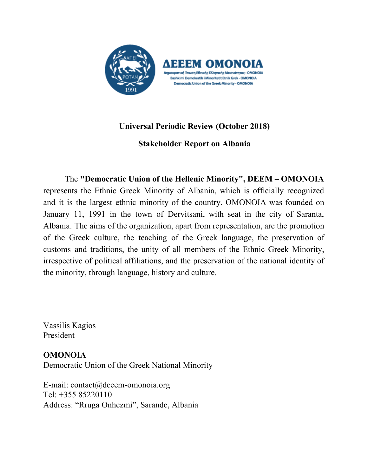

# **Universal Periodic Review (October 2018)**

**Stakeholder Report on Albania**

The **"Democratic Union of the Hellenic Minority" , DEEM – OMONOIA** represents the Ethnic Greek Minority of Albania, which is officially recognized and it is the largest ethnic minority of the country. OMONOIA was founded on January 11, 1991 in the town of Dervitsani, with seat in the city of Saranta, Albania. The aims of the organization, apart from representation, are the promotion of the Greek culture, the teaching of the Greek language, the preservation of customs and traditions, the unity of all members of the Ethnic Greek Minority, irrespective of political affiliations, and the preservation of the national identity of the minority, through language, history and culture.

Vassilis Kagios President

**OMONOIA** Democratic Union of the Greek National Minority

E-mail: [contact@deeem-omonoia.org](mailto:contact@deeem-omonoia.org) Tel: +355 85220110 Address: "Rruga Onhezmi", Sarande, Albania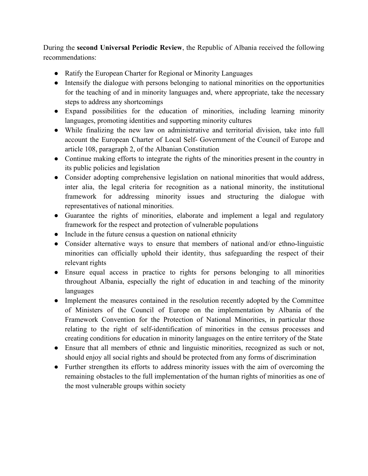During the **second Universal Periodic Review**, the Republic of Albania received the following recommendations:

- Ratify the European Charter for Regional or Minority Languages
- Intensify the dialogue with persons belonging to national minorities on the opportunities for the teaching of and in minority languages and, where appropriate, take the necessary steps to address any shortcomings
- Expand possibilities for the education of minorities, including learning minority languages, promoting identities and supporting minority cultures
- While finalizing the new law on administrative and territorial division, take into full account the European Charter of Local Self- Government of the Council of Europe and article 108, paragraph 2, of the Albanian Constitution
- Continue making efforts to integrate the rights of the minorities present in the country in its public policies and legislation
- Consider adopting comprehensive legislation on national minorities that would address, inter alia, the legal criteria for recognition as a national minority, the institutional framework for addressing minority issues and structuring the dialogue with representatives of national minorities.
- Guarantee the rights of minorities, elaborate and implement a legal and regulatory framework for the respect and protection of vulnerable populations
- Include in the future census a question on national ethnicity
- Consider alternative ways to ensure that members of national and/or ethno-linguistic minorities can officially uphold their identity, thus safeguarding the respect of their relevant rights
- Ensure equal access in practice to rights for persons belonging to all minorities throughout Albania, especially the right of education in and teaching of the minority languages
- Implement the measures contained in the resolution recently adopted by the Committee of Ministers of the Council of Europe on the implementation by Albania of the Framework Convention for the Protection of National Minorities, in particular those relating to the right of self-identification of minorities in the census processes and creating conditions for education in minority languages on the entire territory of the State
- Ensure that all members of ethnic and linguistic minorities, recognized as such or not, should enjoy all social rights and should be protected from any forms of discrimination
- Further strengthen its efforts to address minority issues with the aim of overcoming the remaining obstacles to the full implementation of the human rights of minorities as one of the most vulnerable groups within society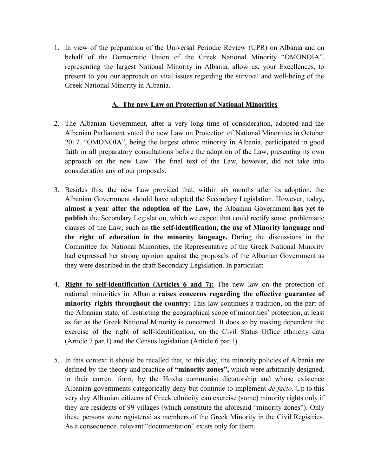1. In view of the preparation of the Universal Periodic Review (UPR) on Albania and on behalf of the Democratic Union of the Greek National Minority "OMONOIA", representing the largest National Minority in Albania, allow us, your Excellences, to present to you our approach on vital issues regarding the survival and well-being of the Greek National Minority in Albania.

### **A. The new Law on Protection of National Minorities**

- 2. The Albanian Government, after a very long time of consideration, adopted and the Albanian Parliament voted the new Law on Protection of National Minorities in October 2017. "OMONOIA", being the largest ethnic minority in Albania, participated in good faith in all preparatory consultations before the adoption of the Law, presenting its own approach on the new Law. The final text of the Law, however, did not take into consideration any of our proposals.
- 3. Besides this, the new Law provided that, within six months after its adoption, the Albanian Government should have adopted the Secondary Legislation. However, today**, almost a year after the adoption of the Law,** the Albanian Government **has yet to publish** the Secondary Legislation, which we expect that could rectify some problematic clauses of the Law, such as **the self-identification, the use of Minority language and the right of education in the minority language.** During the discussions in the Committee for National Minorities, the Representative of the Greek National Minority had expressed her strong opinion against the proposals of the Albanian Government as they were described in the draft Secondary Legislation. In particular:
- 4. **Right to self-identification (Articles 6 and 7):** The new law on the protection of national minorities in Albania **raises concerns regarding the effective guarantee of minority rights throughout the country**: This law continues a tradition, on the part of the Albanian state, of restricting the geographical scope of minorities' protection, at least as far as the Greek National Minority is concerned. It does so by making dependent the exercise of the right of self-identification, on the Civil Status Office ethnicity data (Article 7 par.1) and the Census legislation (Article 6 par.1).
- 5. In this context it should be recalled that, to this day, the minority policies of Albania are defined by the theory and practice of **"minority zones",** which were arbitrarily designed, in their current form, by the Hoxha communist dictatorship and whose existence Albanian governments categorically deny but continue to implement *de facto*. Up to this very day Albanian citizens of Greek ethnicity can exercise (some) minority rights only if they are residents of 99 villages (which constitute the aforesaid "minority zones"). Only these persons were registered as members of the Greek Minority in the Civil Registries. As a consequence, relevant "documentation" exists only for them.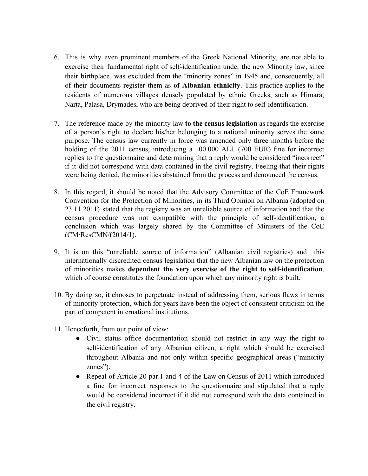- 6. This is why even prominent members of the Greek National Minority, are not able to exercise their fundamental right of self-identification under the new Minority law, since their birthplace, was excluded from the "minority zones" in 1945 and, consequently, all of their documents register them as **of Albanian ethnicity**. This practice applies to the residents of numerous villages densely populated by ethnic Greeks, such as Himara, Narta, Palasa, Drymades, who are being deprived of their right to self-identification.
- 7. The reference made by the minority law **to the census legislation** as regards the exercise of a person's right to declare his/her belonging to a national minority serves the same purpose. The census law currently in force was amended only three months before the holding of the 2011 census, introducing a 100.000 ALL (700 EUR) fine for incorrect replies to the questionnaire and determining that a reply would be considered "incorrect" if it did not correspond with data contained in the civil registry. Feeling that their rights were being denied, the minorities abstained from the process and denounced the census.
- 8. In this regard, it should be noted that the Advisory Committee of the CoE Framework Convention for the Protection of Minorities, in its Third Opinion on Albania (adopted on 23.11.2011) stated that the registry was an unreliable source of information and that the census procedure was not compatible with the principle of self-identification, a conclusion which was largely shared by the Committee of Ministers of the CoE (CM/ResCMN/(2014/1).
- 9. It is on this "unreliable source of information" (Albanian civil registries) and this internationally discredited census legislation that the new Albanian law on the protection of minorities makes **dependent the very exercise of the right to self-identification**, which of course constitutes the foundation upon which any minority right is built.
- 10. By doing so, it chooses to perpetuate instead of addressing them, serious flaws in terms of minority protection, which for years have been the object of consistent criticism on the part of competent international institutions.
- 11. Henceforth, from our point of view:
	- Civil status office documentation should not restrict in any way the right to self-identification of any Albanian citizen, a right which should be exercised throughout Albania and not only within specific geographical areas ("minority zones").
	- Repeal of Article 20 par.1 and 4 of the Law on Census of 2011 which introduced a fine for incorrect responses to the questionnaire and stipulated that a reply would be considered incorrect if it did not correspond with the data contained in the civil registry.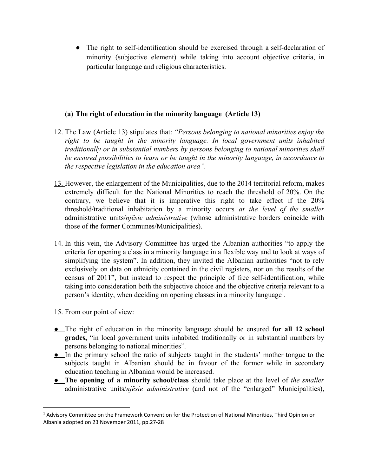● The right to self-identification should be exercised through a self-declaration of minority (subjective element) while taking into account objective criteria, in particular language and religious characteristics.

### **(a) The right of education in the minority language (Article 13)**

- 12. The Law (Article 13) stipulates that: *"Persons belonging to national minorities enjoy the right to be taught in the minority language. In local government units inhabited traditionally or in substantial numbers by persons belonging to national minorities shall be ensured possibilities to learn or be taught in the minority language, in accordance to the respective legislation in the education area".*
- 13. However, the enlargement of the Municipalities, due to the 2014 territorial reform, makes extremely difficult for the National Minorities to reach the threshold of 20%. On the contrary, we believe that it is imperative this right to take effect if the 20% threshold/traditional inhabitation by a minority occurs *at the level of the smaller* administrative units/*njësie administrative* (whose administrative borders coincide with those of the former Communes/Municipalities).
- 14. In this vein, the Advisory Committee has urged the Albanian authorities "to apply the criteria for opening a class in a minority language in a flexible way and to look at ways of simplifying the system". In addition, they invited the Albanian authorities "not to rely exclusively on data on ethnicity contained in the civil registers, nor on the results of the census of 2011", but instead to respect the principle of free self-identification, while taking into consideration both the subjective choice and the objective criteria relevant to a person's identity, when deciding on opening classes in a minority language<sup>1</sup>.
- 15. From our point of view:
- **●** The right of education in the minority language should be ensured **for all 12 school grades,** "in local government units inhabited traditionally or in substantial numbers by persons belonging to national minorities".
- **●** In the primary school the ratio of subjects taught in the students' mother tongue to the subjects taught in Albanian should be in favour of the former while in secondary education teaching in Albanian would be increased.
- **● The opening of a minority school/class** should take place at the level of *the smaller* administrative units/*njësie administrative* (and not of the "enlarged" Municipalities),

<sup>&</sup>lt;sup>1</sup> Advisory Committee on the Framework Convention for the Protection of National Minorities, Third Opinion on Albania adopted on 23 November 2011, pp.27-28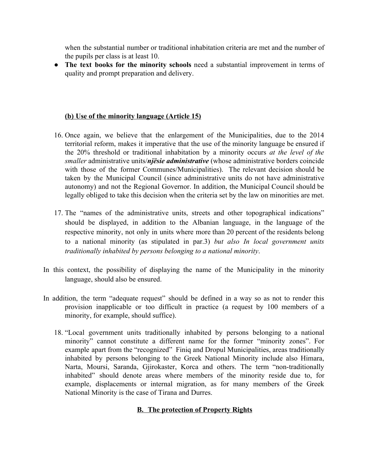when the substantial number or traditional inhabitation criteria are met and the number of the pupils per class is at least 10.

● **The text books for the minority schools** need a substantial improvement in terms of quality and prompt preparation and delivery.

### **(b) Use of the minority language (Article 15)**

- 16. Once again, we believe that the enlargement of the Municipalities, due to the 2014 territorial reform, makes it imperative that the use of the minority language be ensured if the 20% threshold or traditional inhabitation by a minority occurs *at the level of the smaller* administrative units/*njësie administrative* (whose administrative borders coincide with those of the former Communes/Municipalities). The relevant decision should be taken by the Municipal Council (since administrative units do not have administrative autonomy) and not the Regional Governor. In addition, the Municipal Council should be legally obliged to take this decision when the criteria set by the law on minorities are met.
- 17. The "names of the administrative units, streets and other topographical indications" should be displayed, in addition to the Albanian language, in the language of the respective minority, not only in units where more than 20 percent of the residents belong to a national minority (as stipulated in par.3) *but also In local government units traditionally inhabited by persons belonging to a national minority*.
- In this context, the possibility of displaying the name of the Municipality in the minority language, should also be ensured.
- In addition, the term "adequate request" should be defined in a way so as not to render this provision inapplicable or too difficult in practice (a request by 100 members of a minority, for example, should suffice).
	- 18. "Local government units traditionally inhabited by persons belonging to a national minority" cannot constitute a different name for the former "minority zones". For example apart from the "recognized" Finiq and Dropul Municipalities, areas traditionally inhabited by persons belonging to the Greek National Minority include also Himara, Narta, Moursi, Saranda, Gjirokaster, Korca and others. The term "non-traditionally inhabited" should denote areas where members of the minority reside due to, for example, displacements or internal migration, as for many members of the Greek National Minority is the case of Tirana and Durres.

## **B. The protection of Property Rights**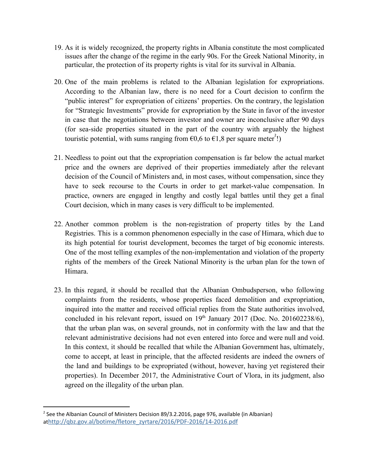- 19. As it is widely recognized, the property rights in Albania constitute the most complicated issues after the change of the regime in the early 90s. For the Greek National Minority, in particular, the protection of its property rights is vital for its survival in Albania.
- 20. One of the main problems is related to the Albanian legislation for expropriations. According to the Albanian law, there is no need for a Court decision to confirm the "public interest" for expropriation of citizens' properties. On the contrary, the legislation for "Strategic Investments" provide for expropriation by the State in favor of the investor in case that the negotiations between investor and owner are inconclusive after 90 days (for sea-side properties situated in the part of the country with arguably the highest touristic potential, with sums ranging from  $\epsilon 0, 6$  to  $\epsilon 1, 8$  per square meter<sup>1</sup>.
- 21. Needless to point out that the expropriation compensation is far below the actual market price and the owners are deprived of their properties immediately after the relevant decision of the Council of Ministers and, in most cases, without compensation, since they have to seek recourse to the Courts in order to get market-value compensation. In practice, owners are engaged in lengthy and costly legal battles until they get a final Court decision, which in many cases is very difficult to be implemented.
- 22. Another common problem is the non-registration of property titles by the Land Registries. This is a common phenomenon especially in the case of Himara, which due to its high potential for tourist development, becomes the target of big economic interests. One of the most telling examples of the non-implementation and violation of the property rights of the members of the Greek National Minority is the urban plan for the town of Himara.
- 23. In this regard, it should be recalled that the Albanian Ombudsperson, who following complaints from the residents, whose properties faced demolition and expropriation, inquired into the matter and received official replies from the State authorities involved, concluded in his relevant report, issued on  $19<sup>th</sup>$  January 2017 (Doc. No. 201602238/6), that the urban plan was, on several grounds, not in conformity with the law and that the relevant administrative decisions had not even entered into force and were null and void. In this context, it should be recalled that while the Albanian Government has, ultimately, come to accept, at least in principle, that the affected residents are indeed the owners of the land and buildings to be expropriated (without, however, having yet registered their properties). In December 2017, the Administrative Court of Vlora, in its judgment, also agreed on the illegality of the urban plan.

<sup>&</sup>lt;sup>2</sup> See the Albanian Council of Ministers Decision 89/3.2.2016, page 976, available (in Albanian) at[http://qbz.gov.al/botime/fletore\\_zyrtare/2016/PDF-2016/14-2016.pdf](http://qbz.gov.al/botime/fletore_zyrtare/2016/PDF-2016/14-2016.pdf)